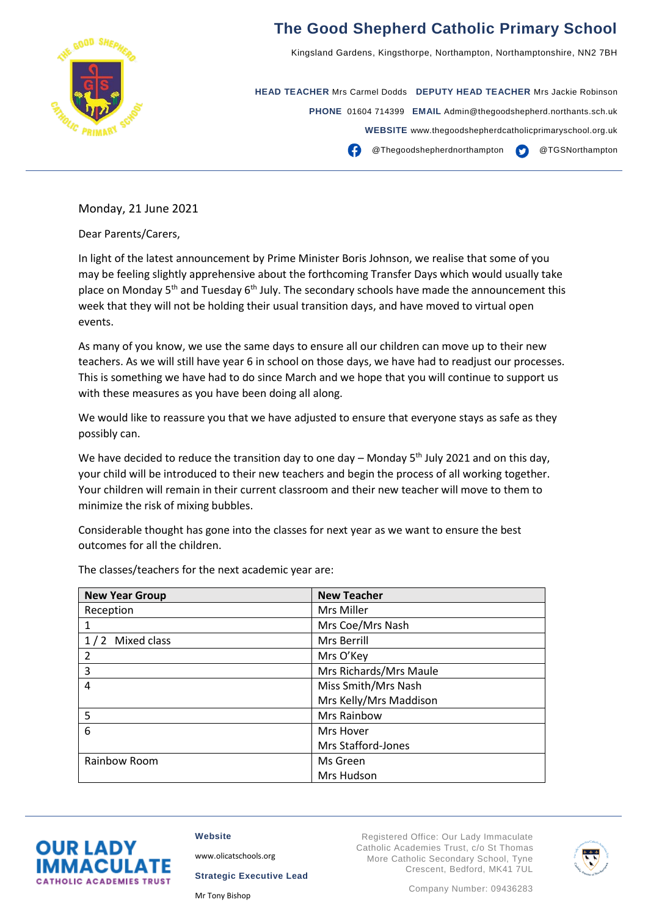

## **The Good Shepherd Catholic Primary School**

Kingsland Gardens, Kingsthorpe, Northampton, Northamptonshire, NN2 7BH

**HEAD TEACHER** Mrs Carmel Dodds **DEPUTY HEAD TEACHER** Mrs Jackie Robinson **PHONE** 01604 714399 **EMAIL** Admin@thegoodshepherd.northants.sch.uk **WEBSITE** www.thegoodshepherdcatholicprimaryschool.org.uk **CO** Thegoodshepherdnorthampton **CO** @TGSNorthampton

Monday, 21 June 2021

Dear Parents/Carers,

In light of the latest announcement by Prime Minister Boris Johnson, we realise that some of you may be feeling slightly apprehensive about the forthcoming Transfer Days which would usually take place on Monday 5<sup>th</sup> and Tuesday 6<sup>th</sup> July. The secondary schools have made the announcement this week that they will not be holding their usual transition days, and have moved to virtual open events.

As many of you know, we use the same days to ensure all our children can move up to their new teachers. As we will still have year 6 in school on those days, we have had to readjust our processes. This is something we have had to do since March and we hope that you will continue to support us with these measures as you have been doing all along.

We would like to reassure you that we have adjusted to ensure that everyone stays as safe as they possibly can.

We have decided to reduce the transition day to one day – Monday  $5<sup>th</sup>$  July 2021 and on this day, your child will be introduced to their new teachers and begin the process of all working together. Your children will remain in their current classroom and their new teacher will move to them to minimize the risk of mixing bubbles.

Considerable thought has gone into the classes for next year as we want to ensure the best outcomes for all the children.

| <b>New Year Group</b> | <b>New Teacher</b>     |
|-----------------------|------------------------|
| Reception             | Mrs Miller             |
| 1                     | Mrs Coe/Mrs Nash       |
| 1/2 Mixed class       | Mrs Berrill            |
| 2                     | Mrs O'Key              |
| 3                     | Mrs Richards/Mrs Maule |
| 4                     | Miss Smith/Mrs Nash    |
|                       | Mrs Kelly/Mrs Maddison |
| 5                     | Mrs Rainbow            |
| 6                     | Mrs Hover              |
|                       | Mrs Stafford-Jones     |
| Rainbow Room          | Ms Green               |
|                       | Mrs Hudson             |

The classes/teachers for the next academic year are:



[www.olicatschools.org](http://www.olicatschools.org/)

**Strategic Executive Lead**

Mr Tony Bishop

**Website**

Registered Office: Our Lady Immaculate Catholic Academies Trust, c/o St Thomas More Catholic Secondary School, Tyne Crescent, Bedford, MK41 7UL